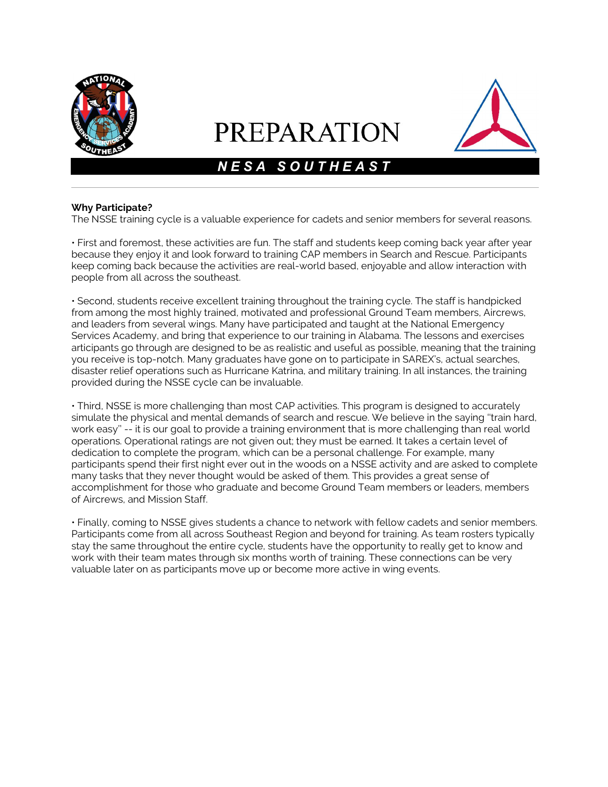

# **PREPARATION**



## N E S A S O U T H E A S T

#### Why Participate?

The NSSE training cycle is a valuable experience for cadets and senior members for several reasons.

• First and foremost, these activities are fun. The staff and students keep coming back year after year because they enjoy it and look forward to training CAP members in Search and Rescue. Participants keep coming back because the activities are real-world based, enjoyable and allow interaction with people from all across the southeast.

• Second, students receive excellent training throughout the training cycle. The staff is handpicked from among the most highly trained, motivated and professional Ground Team members, Aircrews, and leaders from several wings. Many have participated and taught at the National Emergency Services Academy, and bring that experience to our training in Alabama. The lessons and exercises articipants go through are designed to be as realistic and useful as possible, meaning that the training you receive is top-notch. Many graduates have gone on to participate in SAREX's, actual searches, disaster relief operations such as Hurricane Katrina, and military training. In all instances, the training provided during the NSSE cycle can be invaluable.

• Third, NSSE is more challenging than most CAP activities. This program is designed to accurately simulate the physical and mental demands of search and rescue. We believe in the saying ''train hard, work easy'' -- it is our goal to provide a training environment that is more challenging than real world operations. Operational ratings are not given out; they must be earned. It takes a certain level of dedication to complete the program, which can be a personal challenge. For example, many participants spend their first night ever out in the woods on a NSSE activity and are asked to complete many tasks that they never thought would be asked of them. This provides a great sense of accomplishment for those who graduate and become Ground Team members or leaders, members of Aircrews, and Mission Staff.

• Finally, coming to NSSE gives students a chance to network with fellow cadets and senior members. Participants come from all across Southeast Region and beyond for training. As team rosters typically stay the same throughout the entire cycle, students have the opportunity to really get to know and work with their team mates through six months worth of training. These connections can be very valuable later on as participants move up or become more active in wing events.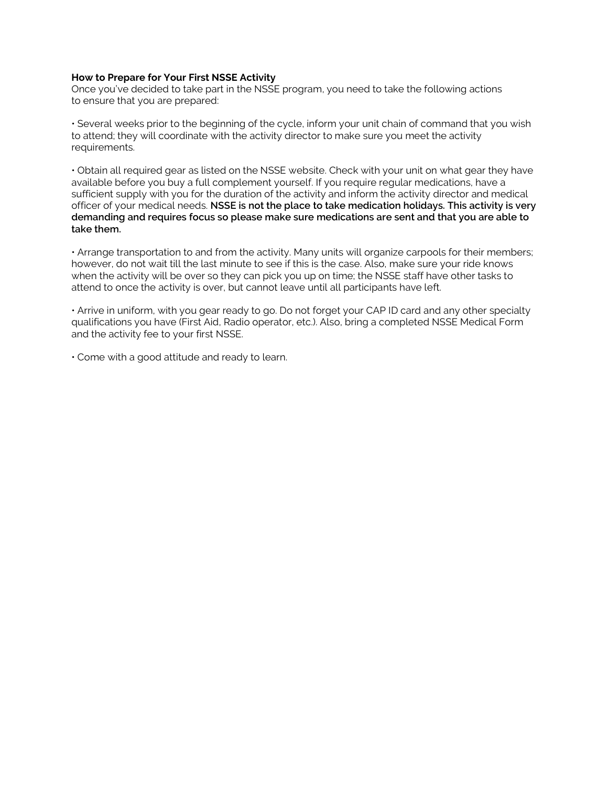#### How to Prepare for Your First NSSE Activity

Once you've decided to take part in the NSSE program, you need to take the following actions to ensure that you are prepared:

• Several weeks prior to the beginning of the cycle, inform your unit chain of command that you wish to attend; they will coordinate with the activity director to make sure you meet the activity requirements.

• Obtain all required gear as listed on the NSSE website. Check with your unit on what gear they have available before you buy a full complement yourself. If you require regular medications, have a sufficient supply with you for the duration of the activity and inform the activity director and medical officer of your medical needs. NSSE is not the place to take medication holidays. This activity is very demanding and requires focus so please make sure medications are sent and that you are able to take them.

• Arrange transportation to and from the activity. Many units will organize carpools for their members; however, do not wait till the last minute to see if this is the case. Also, make sure your ride knows when the activity will be over so they can pick you up on time; the NSSE staff have other tasks to attend to once the activity is over, but cannot leave until all participants have left.

• Arrive in uniform, with you gear ready to go. Do not forget your CAP ID card and any other specialty qualifications you have (First Aid, Radio operator, etc.). Also, bring a completed NSSE Medical Form and the activity fee to your first NSSE.

• Come with a good attitude and ready to learn.